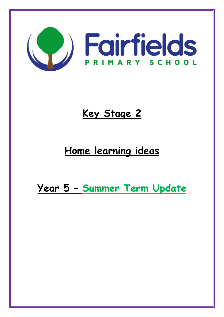

# **Key Stage 2**

## **Home learning ideas**

**Year 5 – Summer Term Update**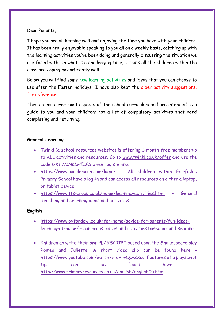#### Dear Parents,

I hope you are all keeping well and enjoying the time you have with your children. It has been really enjoyable speaking to you all on a weekly basis, catching up with the learning activities you've been doing and generally discussing the situation we are faced with. In what is a challenging time, I think all the children within the class are coping magnificently well.

Below you will find some new learning activities and ideas that you can choose to use after the Easter 'holidays'. I have also kept the older activity suggestions, for reference.

These ideas cover most aspects of the school curriculum and are intended as a guide to you and your children; not a list of compulsory activities that need completing and returning.

#### **General Learning**

- Twinkl (a school resources website) is offering 1-month free membership to ALL activities and resources. Go to [www.twinkl.co.uk/offer](http://www.twinkl.co.uk/offer) and use the code *UKTWINKLHELPS* when registering.
- <https://www.purplemash.com/login/> All children within Fairfields Primary School have a log-in and can access all resources on either a laptop, or tablet device.
- <https://www.tts-group.co.uk/home+learning+activities.html> General Teaching and Learning ideas and activities.

#### **English**

- [https://www.oxfordowl.co.uk/for-home/advice-for-parents/fun-ideas](https://www.oxfordowl.co.uk/for-home/advice-for-parents/fun-ideas-learning-at-home/)[learning-at-home/](https://www.oxfordowl.co.uk/for-home/advice-for-parents/fun-ideas-learning-at-home/) - numerous games and activities based around Reading.
- Children an write their own PLAYSCRIPT based upon the Shakespeare play Romeo and Juliette. A short video clip can be found here [https://www.youtube.com/watch?v=dRrvQ1vZxcg.](https://www.youtube.com/watch?v=dRrvQ1vZxcg) Features of a playscript tips can be found here [http://www.primaryresources.co.uk/english/englishC5.htm.](http://www.primaryresources.co.uk/english/englishC5.htm)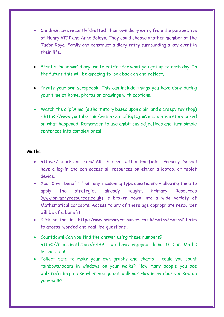- Children have recently 'drafted' their own diary entry from the perspective of Henry VIII and Anne Boleyn. They could choose another member of the Tudor Royal Family and construct a diary entry surrounding a key event in their life.
- Start a 'lockdown' diary, write entries for what you get up to each day. In the future this will be amazing to look back on and reflect.
- Create your own scrapbook! This can include things you have done during your time at home, photos or drawings with captions.
- Watch the clip 'Alma' (a short story based upon a girl and a creepy toy shop) -<https://www.youtube.com/watch?v=irbFBgI0jhM>and write a story based on what happened. Remember to use ambitious adjectives and turn simple sentences into complex ones!

#### **Maths**

- <https://ttrockstars.com/>All children within Fairfields Primary School have a log-in and can access all resources on either a laptop, or tablet device.
- Year 5 will benefit from any 'reasoning type questioning allowing them to apply the strategies already taught. Primary Resources [\(www.primaryresources.co.uk\)](http://www.primaryresources.co.uk/) is broken down into a wide variety of Mathematical concepts. Access to any of these age appropriate resources will be of a benefit.
- Click on the link<http://www.primaryresources.co.uk/maths/mathsD1.htm> to access 'worded and real life questions'.
- Countdown! Can you find the answer using these numbers? <https://nrich.maths.org/6499>- we have enjoyed doing this in Maths lessons too!
- Collect data to make your own graphs and charts could you count rainbows/bears in windows on your walks? How many people you see walking/riding a bike when you go out walking? How many dogs you saw on your walk?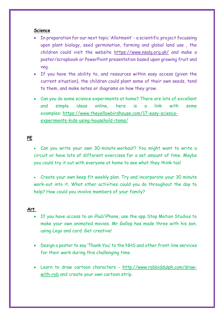#### **Science**

- In preparation for our next topic 'Allotment' a scientific project focussing upon plant biology, seed germination, farming and global land use , the children could visit the website <https://www.nsalg.org.uk/>and make a poster/scrapbook or PowerPoint presentation based upon growing fruit and veg.
- If you have the ability to, and resources within easy access (given the current situation), the children could plant some of their own seeds, tend to them, and make notes or diagrams on how they grow.
- Can you do some science experiments at home? There are lots of excellent and simple ideas online, here is a link with some examples: [https://www.theyellowbirdhouse.com/17-easy-science](https://www.theyellowbirdhouse.com/17-easy-science-experiments-kids-using-household-items/)[experiments-kids-using-household-items/](https://www.theyellowbirdhouse.com/17-easy-science-experiments-kids-using-household-items/)

### **PE**

- Can you write your own 30-minute workout? You might want to write a circuit or have lots of different exercises for a set amount of time. Maybe you could try it out with everyone at home to see what they think too!
- Create your own keep fit weekly plan. Try and incorporate your 30 minute work-out into it. What other activities could you do throughout the day to help? How could you involve members of your family?

#### **Art**

- If you have access to an iPad/iPhone, use the app Stop Motion Studios to make your own animated movies. Mr Gallop has made three with his son, using Lego and card. Get creative!
- Design a poster to say 'Thank You' to the NHS and other front-line services for their work during this challenging time.
- Learn to draw cartoon characters [http://www.robbiddulph.com/draw](http://www.robbiddulph.com/draw-with-rob)[with-rob](http://www.robbiddulph.com/draw-with-rob) and create your own cartoon strip.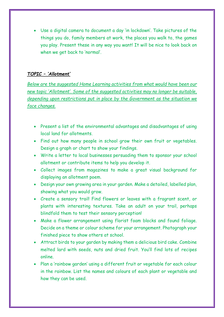Use a digital camera to document a day 'in lockdown'. Take pictures of the things you do, family members at work, the places you walk to, the games you play. Present these in any way you want! It will be nice to look back on when we get back to 'normal'.

#### *TOPIC – 'Allotment'*

*Below are the suggested Home Learning activities from what would have been our new topic 'Allotment'. Some of the suggested activities may no longer be suitable, depending upon restrictions put in place by the Government as the situation we face changes.* 

- Present a list of the environmental advantages and disadvantages of using local land for allotments.
- Find out how many people in school grow their own fruit or vegetables. Design a graph or chart to show your findings.
- Write a letter to local businesses persuading them to sponsor your school allotment or contribute items to help you develop it.
- Collect images from magazines to make a great visual background for displaying an allotment poem.
- Design your own growing area in your garden. Make a detailed, labelled plan, showing what you would grow.
- Create a sensory trail! Find flowers or leaves with a fragrant scent, or plants with interesting textures. Take an adult on your trail, perhaps blindfold them to test their sensory perception!
- Make a flower arrangement using florist foam blocks and found foliage. Decide on a theme or colour scheme for your arrangement. Photograph your finished piece to show others at school.
- Attract birds to your garden by making them a delicious bird cake. Combine melted lard with seeds, nuts and dried fruit. You'll find lots of recipes online.
- Plan a 'rainbow garden' using a different fruit or vegetable for each colour in the rainbow. List the names and colours of each plant or vegetable and how they can be used.